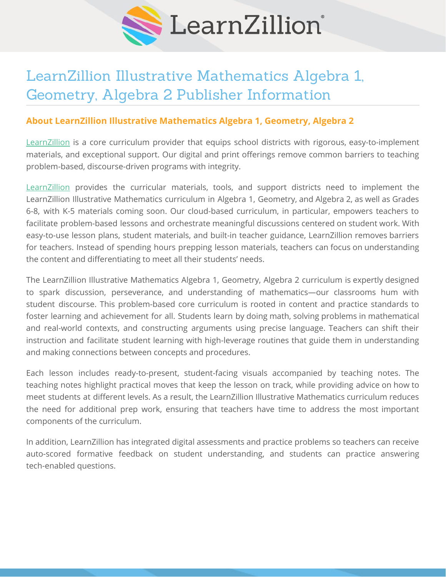

## LearnZillion Illustrative Mathematics Algebra 1, Geometry, Algebra 2 Publisher Information

## **About LearnZillion Illustrative Mathematics Algebra 1, Geometry, Algebra 2**

[LearnZillion](https://learnzillion.com/p/?utm_medium=pdf-in-text&utm_source=edreports&utm_campaign=lz-edreports-2020) is a core curriculum provider that equips school districts with rigorous, easy-to-implement materials, and exceptional support. Our digital and print offerings remove common barriers to teaching problem-based, discourse-driven programs with integrity.

[LearnZillion](https://learnzillion.com/p/?utm_medium=pdf-in-text&utm_source=edreports&utm_campaign=lz-edreports-2020) provides the curricular materials, tools, and support districts need to implement the LearnZillion Illustrative Mathematics curriculum in Algebra 1, Geometry, and Algebra 2, as well as Grades 6-8, with K-5 materials coming soon. Our cloud-based curriculum, in particular, empowers teachers to facilitate problem-based lessons and orchestrate meaningful discussions centered on student work. With easy-to-use lesson plans, student materials, and built-in teacher guidance, LearnZillion removes barriers for teachers. Instead of spending hours prepping lesson materials, teachers can focus on understanding the content and differentiating to meet all their students' needs.

The LearnZillion Illustrative Mathematics Algebra 1, Geometry, Algebra 2 curriculum is expertly designed to spark discussion, perseverance, and understanding of mathematics—our classrooms hum with student discourse. This problem-based core curriculum is rooted in content and practice standards to foster learning and achievement for all. Students learn by doing math, solving problems in mathematical and real-world contexts, and constructing arguments using precise language. Teachers can shift their instruction and facilitate student learning with high-leverage routines that guide them in understanding and making connections between concepts and procedures.

Each lesson includes ready-to-present, student-facing visuals accompanied by teaching notes. The teaching notes highlight practical moves that keep the lesson on track, while providing advice on how to meet students at different levels. As a result, the LearnZillion Illustrative Mathematics curriculum reduces the need for additional prep work, ensuring that teachers have time to address the most important components of the curriculum.

In addition, LearnZillion has integrated digital assessments and practice problems so teachers can receive auto-scored formative feedback on student understanding, and students can practice answering tech-enabled questions.